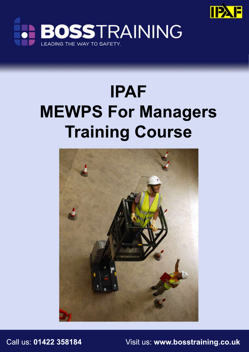



# **IPAF MEWPS For Managers Training Course**



Call us: **01422 358184** Visit us: **www.bosstraining.co.uk**